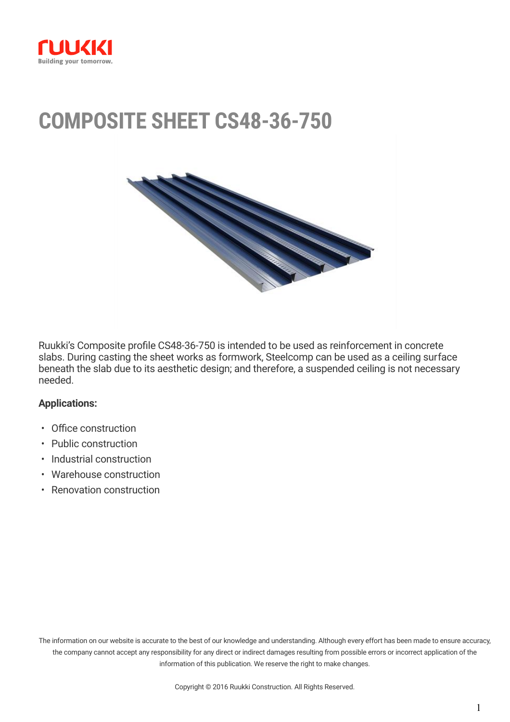

# **COMPOSITE SHEET CS48-36-750**



Ruukki's Composite profile CS48-36-750 is intended to be used as reinforcement in concrete slabs. During casting the sheet works as formwork, Steelcomp can be used as a ceiling surface beneath the slab due to its aesthetic design; and therefore, a suspended ceiling is not necessary needed.

#### **Applications:**

- Office construction
- Public construction
- Industrial construction
- Warehouse construction
- Renovation construction

The information on our website is accurate to the best of our knowledge and understanding. Although every effort has been made to ensure accuracy, the company cannot accept any responsibility for any direct or indirect damages resulting from possible errors or incorrect application of the information of this publication. We reserve the right to make changes.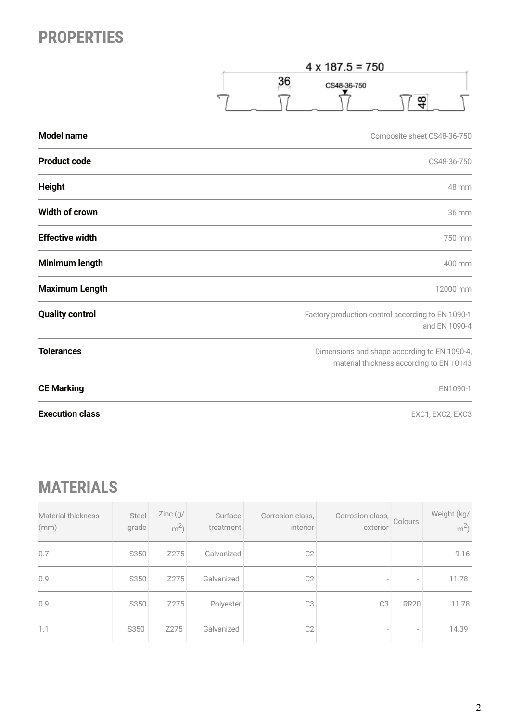## **PROPERTIES**

 $4 \times 187.5 = 750$ 36  $48$  $\overline{\phantom{0}}$  $\sqrt{}$  $\nabla$ 

| <b>Model name</b>      | Composite sheet CS48-36-750                                                              |
|------------------------|------------------------------------------------------------------------------------------|
| <b>Product code</b>    | CS48-36-750                                                                              |
| <b>Height</b>          | 48 mm                                                                                    |
| <b>Width of crown</b>  | 36 mm                                                                                    |
| <b>Effective width</b> | 750 mm                                                                                   |
| Minimum length         | 400 mm                                                                                   |
| <b>Maximum Length</b>  | 12000 mm                                                                                 |
| <b>Quality control</b> | Factory production control according to EN 1090-1<br>and EN 1090-4                       |
| <b>Tolerances</b>      | Dimensions and shape according to EN 1090-4,<br>material thickness according to EN 10143 |
| <b>CE Marking</b>      | EN1090-1                                                                                 |
| <b>Execution class</b> | EXC1, EXC2, EXC3                                                                         |

## **MATERIALS**

| <b>Material thickness</b><br>(mm) | Steel<br>grade | Zinc(9/<br>$m^2$ | Surface<br>treatment | Corrosion class,<br>interior | Corrosion class,<br>exterior | Colours                  | Weight (kg/<br>m <sup>2</sup> |
|-----------------------------------|----------------|------------------|----------------------|------------------------------|------------------------------|--------------------------|-------------------------------|
| 0.7                               | S350           | Z275             | Galvanized           | C <sub>2</sub>               | $\overline{\phantom{a}}$     | $\overline{\phantom{a}}$ | 9.16                          |
| 0.9                               | S350           | Z275             | Galvanized           | C <sub>2</sub>               |                              |                          | 11.78                         |
| 0.9                               | S350           | Z275             | Polyester            | C <sub>3</sub>               | C <sub>3</sub>               | <b>RR20</b>              | 11.78                         |
| 1.1                               | S350           | Z275             | Galvanized           | C <sub>2</sub>               | $\overline{\phantom{a}}$     | $\overline{\phantom{a}}$ | 14.39                         |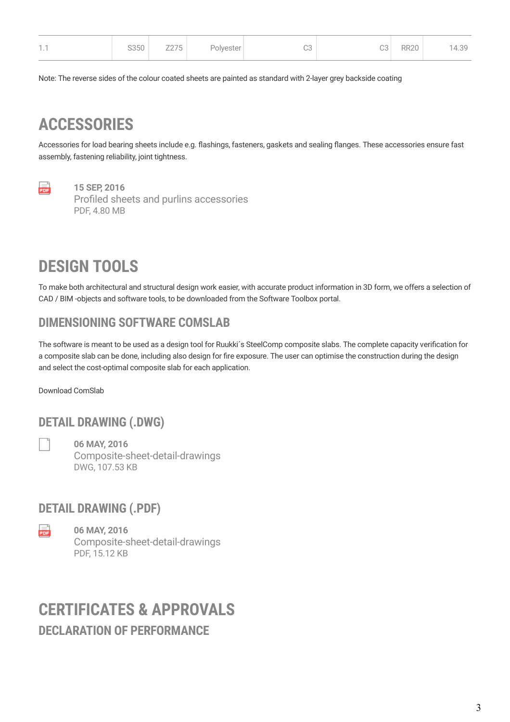| $-1$<br>$\cdots$ | S350 | Z275 | Polyester | C3 | C3 | <b>RR20</b> | 14.39 |
|------------------|------|------|-----------|----|----|-------------|-------|
|                  |      |      |           |    |    |             |       |

Note: The reverse sides of the colour coated sheets are painted as standard with 2-layer grey backside coating

### **ACCESSORIES**

Accessories for load bearing sheets include e.g. flashings, fasteners, gaskets and sealing flanges. These accessories ensure fast assembly, fastening reliability, joint tightness.



**15 SEP, 2016** [Profiled sheets and purlins accessories](https://cdn.ruukki.com/docs/default-source/b2b-documents/load-bearing-sheets/en_profiled_sheets_and_purlins_accessories_11_2016-(1).pdf?sfvrsn=71e8f84_38) PDF, 4.80 MB

## **DESIGN TOOLS**

To make both architectural and structural design work easier, with accurate product information in 3D form, we offers a selection of CAD / BIM -objects and software tools, to be downloaded from the Software Toolbox portal.

### **DIMENSIONING SOFTWARE COMSLAB**

The software is meant to be used as a design tool for Ruukki´s SteelComp composite slabs. The complete capacity verification for a composite slab can be done, including also design for fire exposure. The user can optimise the construction during the design and select the cost-optimal composite slab for each application.

[Download ComSlab](https://software.ruukki.com/PublishedService?file=&pageID=3&action=view&groupID=261&OpenGroups=261)

### **DETAIL DRAWING (.DWG)**

**06 MAY, 2016** [Composite-sheet-detail-drawings](https://cdn.ruukki.com/docs/default-source/b2b-documents/load-bearing-sheets/load-bearing-sheets/composite-sheet-detail-drawings58679e62740b6b06951eff00002615e0.dwg?sfvrsn=d36cf584_24&download=true) DWG, 107.53 KB

### **DETAIL DRAWING (.PDF)**

en a **06 MAY, 2016** [Composite-sheet-detail-drawings](https://cdn.ruukki.com/docs/default-source/b2b-documents/load-bearing-sheets/load-bearing-sheets/composite-sheet-detail-drawings.pdf?sfvrsn=b86cf584_22) PDF, 15.12 KB

### **DECLARATION OF PERFORMANCE CERTIFICATES & APPROVALS**